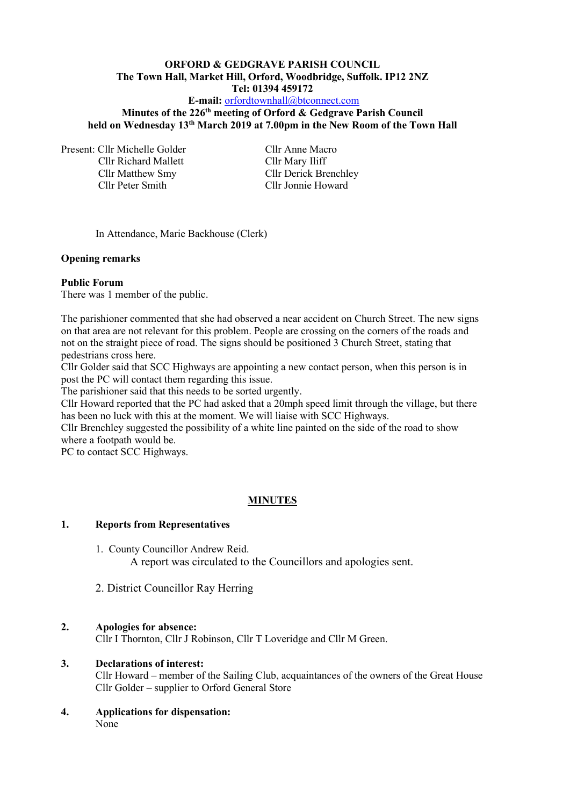# **ORFORD & GEDGRAVE PARISH COUNCIL The Town Hall, Market Hill, Orford, Woodbridge, Suffolk. IP12 2NZ Tel: 01394 459172**

#### **E-mail:** [orfordtownhall@btconnect.com](mailto:orfordtownhall@btconnect.com)

**Minutes of the 226 th meeting of Orford & Gedgrave Parish Council held on Wednesday 13th March 2019 at 7.00pm in the New Room of the Town Hall**

Present: Cllr Michelle Golder Cllr Anne Macro Cllr Richard Mallett Cllr Mary Iliff Cllr Peter Smith Cllr Jonnie Howard

Cllr Matthew Smy Cllr Derick Brenchley

In Attendance, Marie Backhouse (Clerk)

#### **Opening remarks**

#### **Public Forum**

There was 1 member of the public.

The parishioner commented that she had observed a near accident on Church Street. The new signs on that area are not relevant for this problem. People are crossing on the corners of the roads and not on the straight piece of road. The signs should be positioned 3 Church Street, stating that pedestrians cross here.

Cllr Golder said that SCC Highways are appointing a new contact person, when this person is in post the PC will contact them regarding this issue.

The parishioner said that this needs to be sorted urgently.

Cllr Howard reported that the PC had asked that a 20mph speed limit through the village, but there has been no luck with this at the moment. We will liaise with SCC Highways.

Cllr Brenchley suggested the possibility of a white line painted on the side of the road to show where a footpath would be.

PC to contact SCC Highways.

#### **MINUTES**

#### **1. Reports from Representatives**

1. County Councillor Andrew Reid.

A report was circulated to the Councillors and apologies sent.

2. District Councillor Ray Herring

#### **2. Apologies for absence:**

Cllr I Thornton, Cllr J Robinson, Cllr T Loveridge and Cllr M Green.

- **3. Declarations of interest:** Cllr Howard – member of the Sailing Club, acquaintances of the owners of the Great House Cllr Golder – supplier to Orford General Store
- **4. Applications for dispensation:** None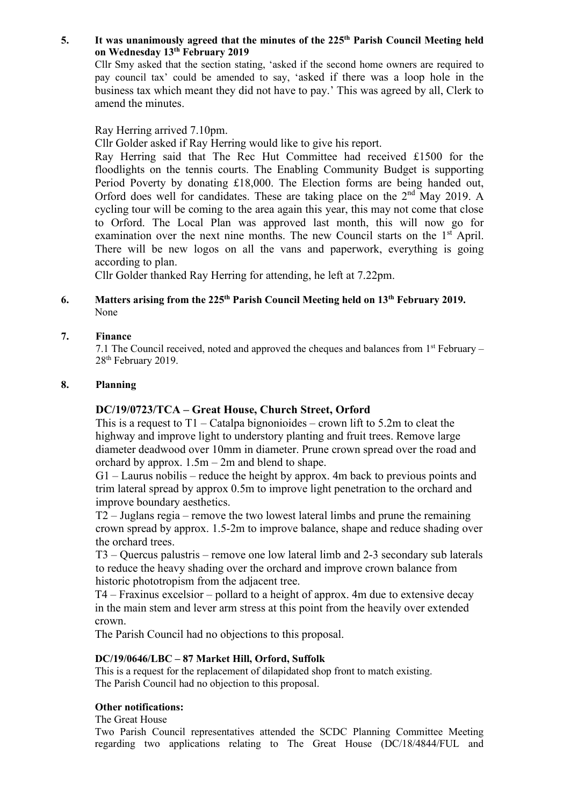# 5. It was unanimously agreed that the minutes of the 225<sup>th</sup> Parish Council Meeting held **on Wednesday 13th February 2019**

Cllr Smy asked that the section stating, 'asked if the second home owners are required to pay council tax' could be amended to say, 'asked if there was a loop hole in the business tax which meant they did not have to pay.' This was agreed by all, Clerk to amend the minutes.

# Ray Herring arrived 7.10pm.

Cllr Golder asked if Ray Herring would like to give his report.

Ray Herring said that The Rec Hut Committee had received £1500 for the floodlights on the tennis courts. The Enabling Community Budget is supporting Period Poverty by donating £18,000. The Election forms are being handed out, Orford does well for candidates. These are taking place on the 2nd May 2019. A cycling tour will be coming to the area again this year, this may not come that close to Orford. The Local Plan was approved last month, this will now go for examination over the next nine months. The new Council starts on the 1<sup>st</sup> April. There will be new logos on all the vans and paperwork, everything is going according to plan.

Cllr Golder thanked Ray Herring for attending, he left at 7.22pm.

# **6. Matters arising from the 225 th Parish Council Meeting held on 13th February 2019.** None

# **7. Finance**

7.1 The Council received, noted and approved the cheques and balances from  $1<sup>st</sup>$  February – 28<sup>th</sup> February 2019.

# **8. Planning**

# **DC/19/0723/TCA – Great House, Church Street, Orford**

This is a request to  $T1 - \text{Catalpa bignonioides} - \text{crown lift to } 5.2 \text{m}$  to cleat the highway and improve light to understory planting and fruit trees. Remove large diameter deadwood over 10mm in diameter. Prune crown spread over the road and orchard by approx.  $1.5m - 2m$  and blend to shape.

G1 – Laurus nobilis – reduce the height by approx. 4m back to previous points and trim lateral spread by approx 0.5m to improve light penetration to the orchard and improve boundary aesthetics.

T2 – Juglans regia – remove the two lowest lateral limbs and prune the remaining crown spread by approx. 1.5-2m to improve balance, shape and reduce shading over the orchard trees.

T3 – Quercus palustris – remove one low lateral limb and 2-3 secondary sub laterals to reduce the heavy shading over the orchard and improve crown balance from historic phototropism from the adjacent tree.

T4 – Fraxinus excelsior – pollard to a height of approx. 4m due to extensive decay in the main stem and lever arm stress at this point from the heavily over extended crown.

The Parish Council had no objections to this proposal.

# **DC/19/0646/LBC – 87 Market Hill, Orford, Suffolk**

This is a request for the replacement of dilapidated shop front to match existing. The Parish Council had no objection to this proposal.

# **Other notifications:**

The Great House

Two Parish Council representatives attended the SCDC Planning Committee Meeting regarding two applications relating to The Great House (DC/18/4844/FUL and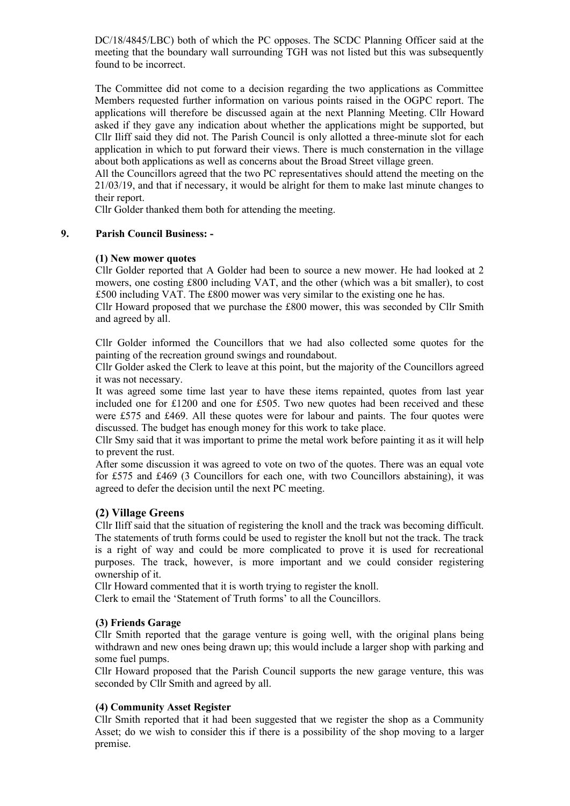DC/18/4845/LBC) both of which the PC opposes. The SCDC Planning Officer said at the meeting that the boundary wall surrounding TGH was not listed but this was subsequently found to be incorrect.

The Committee did not come to a decision regarding the two applications as Committee Members requested further information on various points raised in the OGPC report. The applications will therefore be discussed again at the next Planning Meeting. Cllr Howard asked if they gave any indication about whether the applications might be supported, but Cllr Iliff said they did not. The Parish Council is only allotted a three-minute slot for each application in which to put forward their views. There is much consternation in the village about both applications as well as concerns about the Broad Street village green.

All the Councillors agreed that the two PC representatives should attend the meeting on the 21/03/19, and that if necessary, it would be alright for them to make last minute changes to their report.

Cllr Golder thanked them both for attending the meeting.

#### **9. Parish Council Business: -**

#### **(1) New mower quotes**

Cllr Golder reported that A Golder had been to source a new mower. He had looked at 2 mowers, one costing £800 including VAT, and the other (which was a bit smaller), to cost £500 including VAT. The £800 mower was very similar to the existing one he has.

Cllr Howard proposed that we purchase the £800 mower, this was seconded by Cllr Smith and agreed by all.

Cllr Golder informed the Councillors that we had also collected some quotes for the painting of the recreation ground swings and roundabout.

Cllr Golder asked the Clerk to leave at this point, but the majority of the Councillors agreed it was not necessary.

It was agreed some time last year to have these items repainted, quotes from last year included one for £1200 and one for £505. Two new quotes had been received and these were £575 and £469. All these quotes were for labour and paints. The four quotes were discussed. The budget has enough money for this work to take place.

Cllr Smy said that it was important to prime the metal work before painting it as it will help to prevent the rust.

After some discussion it was agreed to vote on two of the quotes. There was an equal vote for £575 and £469 (3 Councillors for each one, with two Councillors abstaining), it was agreed to defer the decision until the next PC meeting.

#### **(2) Village Greens**

Cllr Iliff said that the situation of registering the knoll and the track was becoming difficult. The statements of truth forms could be used to register the knoll but not the track. The track is a right of way and could be more complicated to prove it is used for recreational purposes. The track, however, is more important and we could consider registering ownership of it.

Cllr Howard commented that it is worth trying to register the knoll.

Clerk to email the 'Statement of Truth forms' to all the Councillors.

#### **(3) Friends Garage**

Cllr Smith reported that the garage venture is going well, with the original plans being withdrawn and new ones being drawn up; this would include a larger shop with parking and some fuel pumps.

Cllr Howard proposed that the Parish Council supports the new garage venture, this was seconded by Cllr Smith and agreed by all.

#### **(4) Community Asset Register**

Cllr Smith reported that it had been suggested that we register the shop as a Community Asset; do we wish to consider this if there is a possibility of the shop moving to a larger premise.